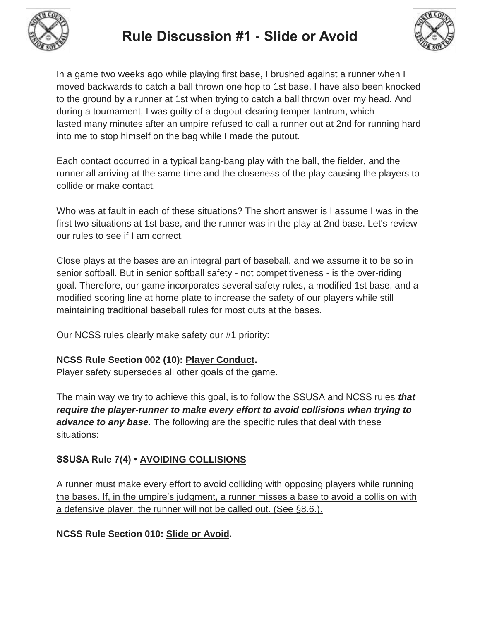



In a game two weeks ago while playing first base, I brushed against a runner when I moved backwards to catch a ball thrown one hop to 1st base. I have also been knocked to the ground by a runner at 1st when trying to catch a ball thrown over my head. And during a tournament, I was guilty of a dugout-clearing temper-tantrum, which lasted many minutes after an umpire refused to call a runner out at 2nd for running hard into me to stop himself on the bag while I made the putout.

Each contact occurred in a typical bang-bang play with the ball, the fielder, and the runner all arriving at the same time and the closeness of the play causing the players to collide or make contact.

Who was at fault in each of these situations? The short answer is I assume I was in the first two situations at 1st base, and the runner was in the play at 2nd base. Let's review our rules to see if I am correct.

Close plays at the bases are an integral part of baseball, and we assume it to be so in senior softball. But in senior softball safety - not competitiveness - is the over-riding goal. Therefore, our game incorporates several safety rules, a modified 1st base, and a modified scoring line at home plate to increase the safety of our players while still maintaining traditional baseball rules for most outs at the bases.

Our NCSS rules clearly make safety our #1 priority:

### **NCSS Rule Section 002 (10): Player Conduct.**

Player safety supersedes all other goals of the game.

The main way we try to achieve this goal, is to follow the SSUSA and NCSS rules *that require the player-runner to make every effort to avoid collisions when trying to advance to any base.* The following are the specific rules that deal with these situations:

### **SSUSA Rule 7(4) • AVOIDING COLLISIONS**

A runner must make every effort to avoid colliding with opposing players while running the bases. If, in the umpire's judgment, a runner misses a base to avoid a collision with a defensive player, the runner will not be called out. (See §8.6.).

**NCSS Rule Section 010: Slide or Avoid.**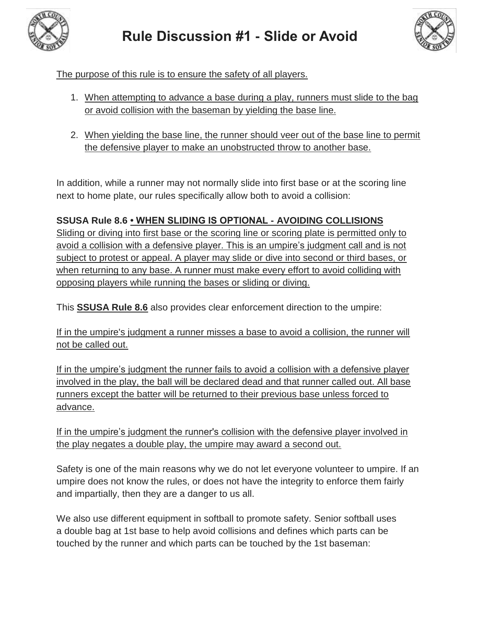



The purpose of this rule is to ensure the safety of all players.

- 1. When attempting to advance a base during a play, runners must slide to the bag or avoid collision with the baseman by yielding the base line.
- 2. When yielding the base line, the runner should veer out of the base line to permit the defensive player to make an unobstructed throw to another base.

In addition, while a runner may not normally slide into first base or at the scoring line next to home plate, our rules specifically allow both to avoid a collision:

# **SSUSA Rule 8.6 • WHEN SLIDING IS OPTIONAL - AVOIDING COLLISIONS**

Sliding or diving into first base or the scoring line or scoring plate is permitted only to avoid a collision with a defensive player. This is an umpire's judgment call and is not subject to protest or appeal. A player may slide or dive into second or third bases, or when returning to any base. A runner must make every effort to avoid colliding with opposing players while running the bases or sliding or diving.

This **SSUSA Rule 8.6** also provides clear enforcement direction to the umpire:

If in the umpire's judgment a runner misses a base to avoid a collision, the runner will not be called out.

If in the umpire's judgment the runner fails to avoid a collision with a defensive player involved in the play, the ball will be declared dead and that runner called out. All base runners except the batter will be returned to their previous base unless forced to advance.

If in the umpire's judgment the runner's collision with the defensive player involved in the play negates a double play, the umpire may award a second out.

Safety is one of the main reasons why we do not let everyone volunteer to umpire. If an umpire does not know the rules, or does not have the integrity to enforce them fairly and impartially, then they are a danger to us all.

We also use different equipment in softball to promote safety. Senior softball uses a double bag at 1st base to help avoid collisions and defines which parts can be touched by the runner and which parts can be touched by the 1st baseman: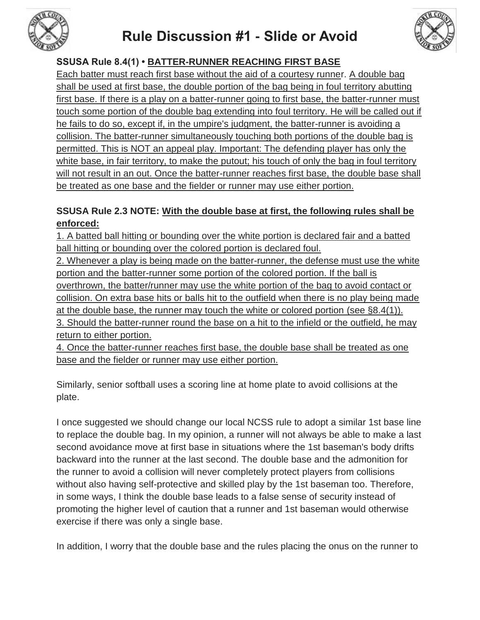

# **Rule Discussion #1 - Slide or Avoid**

## **SSUSA Rule 8.4(1) • BATTER-RUNNER REACHING FIRST BASE**

Each batter must reach first base without the aid of a courtesy runner. A double bag shall be used at first base, the double portion of the bag being in foul territory abutting first base. If there is a play on a batter-runner going to first base, the batter-runner must touch some portion of the double bag extending into foul territory. He will be called out if he fails to do so, except if, in the umpire's judgment, the batter-runner is avoiding a collision. The batter-runner simultaneously touching both portions of the double bag is permitted. This is NOT an appeal play. Important: The defending player has only the white base, in fair territory, to make the putout; his touch of only the bag in foul territory will not result in an out. Once the batter-runner reaches first base, the double base shall be treated as one base and the fielder or runner may use either portion.

### **SSUSA Rule 2.3 NOTE: With the double base at first, the following rules shall be enforced:**

1. A batted ball hitting or bounding over the white portion is declared fair and a batted ball hitting or bounding over the colored portion is declared foul.

2. Whenever a play is being made on the batter-runner, the defense must use the white portion and the batter-runner some portion of the colored portion. If the ball is overthrown, the batter/runner may use the white portion of the bag to avoid contact or collision. On extra base hits or balls hit to the outfield when there is no play being made at the double base, the runner may touch the white or colored portion (see §8.4(1)). 3. Should the batter-runner round the base on a hit to the infield or the outfield, he may return to either portion.

4. Once the batter-runner reaches first base, the double base shall be treated as one base and the fielder or runner may use either portion.

Similarly, senior softball uses a scoring line at home plate to avoid collisions at the plate.

I once suggested we should change our local NCSS rule to adopt a similar 1st base line to replace the double bag. In my opinion, a runner will not always be able to make a last second avoidance move at first base in situations where the 1st baseman's body drifts backward into the runner at the last second. The double base and the admonition for the runner to avoid a collision will never completely protect players from collisions without also having self-protective and skilled play by the 1st baseman too. Therefore, in some ways, I think the double base leads to a false sense of security instead of promoting the higher level of caution that a runner and 1st baseman would otherwise exercise if there was only a single base.

In addition, I worry that the double base and the rules placing the onus on the runner to